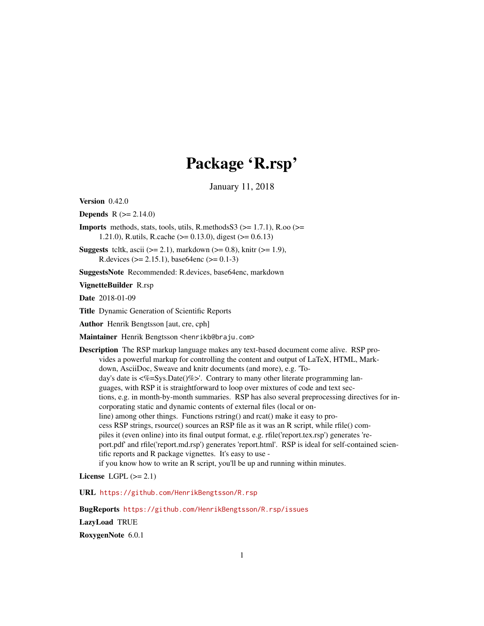## Package 'R.rsp'

January 11, 2018

<span id="page-0-0"></span>Version 0.42.0

**Depends**  $R (= 2.14.0)$ 

**Imports** methods, stats, tools, utils, R.methodsS3 ( $> = 1.7.1$ ), R.oo ( $> =$ 1.21.0), R.utils, R.cache (>= 0.13.0), digest (>= 0.6.13)

**Suggests** tcltk, ascii ( $>= 2.1$ ), markdown ( $>= 0.8$ ), knitr ( $>= 1.9$ ), R.devices ( $> = 2.15.1$ ), base64enc ( $>= 0.1-3$ )

SuggestsNote Recommended: R.devices, base64enc, markdown

VignetteBuilder R.rsp

Date 2018-01-09

Title Dynamic Generation of Scientific Reports

Author Henrik Bengtsson [aut, cre, cph]

Maintainer Henrik Bengtsson <henrikb@braju.com>

Description The RSP markup language makes any text-based document come alive. RSP provides a powerful markup for controlling the content and output of LaTeX, HTML, Markdown, AsciiDoc, Sweave and knitr documents (and more), e.g. 'Today's date is  $\langle\% = Sys.Date$  ()%>'. Contrary to many other literate programming languages, with RSP it is straightforward to loop over mixtures of code and text sections, e.g. in month-by-month summaries. RSP has also several preprocessing directives for incorporating static and dynamic contents of external files (local or online) among other things. Functions rstring() and rcat() make it easy to process RSP strings, rsource() sources an RSP file as it was an R script, while rfile() compiles it (even online) into its final output format, e.g. rfile('report.tex.rsp') generates 'report.pdf' and rfile('report.md.rsp') generates 'report.html'. RSP is ideal for self-contained scientific reports and R package vignettes. It's easy to use if you know how to write an R script, you'll be up and running within minutes.

License LGPL  $(>= 2.1)$ 

URL <https://github.com/HenrikBengtsson/R.rsp>

BugReports <https://github.com/HenrikBengtsson/R.rsp/issues> LazyLoad TRUE RoxygenNote 6.0.1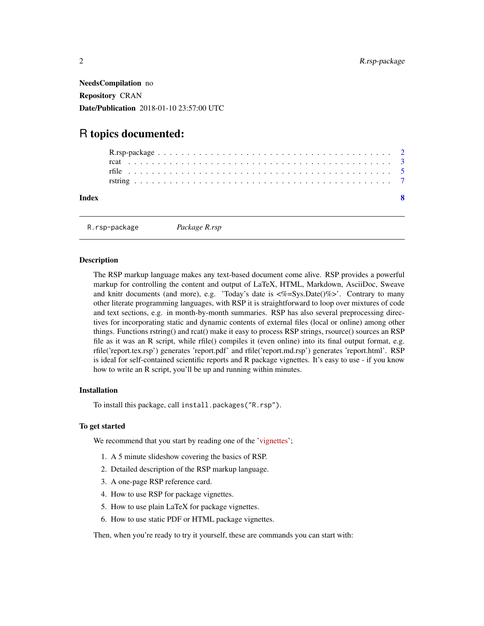<span id="page-1-0"></span>NeedsCompilation no Repository CRAN Date/Publication 2018-01-10 23:57:00 UTC

### R topics documented:

R.rsp-package *Package R.rsp*

#### Description

The RSP markup language makes any text-based document come alive. RSP provides a powerful markup for controlling the content and output of LaTeX, HTML, Markdown, AsciiDoc, Sweave and knitr documents (and more), e.g. 'Today's date is  $\langle\%=Sys,Date(\%)\%>$ '. Contrary to many other literate programming languages, with RSP it is straightforward to loop over mixtures of code and text sections, e.g. in month-by-month summaries. RSP has also several preprocessing directives for incorporating static and dynamic contents of external files (local or online) among other things. Functions rstring() and rcat() make it easy to process RSP strings, rsource() sources an RSP file as it was an R script, while rfile() compiles it (even online) into its final output format, e.g. rfile('report.tex.rsp') generates 'report.pdf' and rfile('report.md.rsp') generates 'report.html'. RSP is ideal for self-contained scientific reports and R package vignettes. It's easy to use - if you know how to write an R script, you'll be up and running within minutes.

#### Installation

To install this package, call install.packages("R.rsp").

#### To get started

We recommend that you start by reading one of the ['vignettes'](../doc/index.html);

- 1. A 5 minute slideshow covering the basics of RSP.
- 2. Detailed description of the RSP markup language.
- 3. A one-page RSP reference card.
- 4. How to use RSP for package vignettes.
- 5. How to use plain LaTeX for package vignettes.
- 6. How to use static PDF or HTML package vignettes.

Then, when you're ready to try it yourself, these are commands you can start with: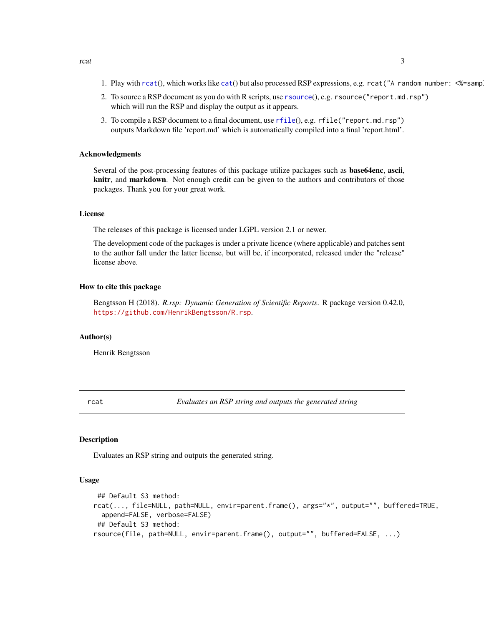- <span id="page-2-0"></span>1. Play with  $rcat()$  $rcat()$ , which works like [cat](#page-0-0)() but also processed RSP expressions, e.g.  $rcat('A random number:  $\frac{m}{2}$  -samp$
- 2. To source a RSP document as you do with R scripts, use [rsource](#page-2-2)(), e.g. rsource("report.md.rsp") which will run the RSP and display the output as it appears.
- 3. To compile a RSP document to a final document, use [rfile](#page-4-1)(), e.g. rfile("report.md.rsp") outputs Markdown file 'report.md' which is automatically compiled into a final 'report.html'.

#### Acknowledgments

Several of the post-processing features of this package utilize packages such as **base64enc**, ascii, knitr, and markdown. Not enough credit can be given to the authors and contributors of those packages. Thank you for your great work.

#### License

The releases of this package is licensed under LGPL version 2.1 or newer.

The development code of the packages is under a private licence (where applicable) and patches sent to the author fall under the latter license, but will be, if incorporated, released under the "release" license above.

#### How to cite this package

Bengtsson H (2018). *R.rsp: Dynamic Generation of Scientific Reports*. R package version 0.42.0, <https://github.com/HenrikBengtsson/R.rsp>.

#### Author(s)

Henrik Bengtsson

<span id="page-2-1"></span>rcat *Evaluates an RSP string and outputs the generated string*

#### <span id="page-2-2"></span>Description

Evaluates an RSP string and outputs the generated string.

#### Usage

```
## Default S3 method:
rcat(..., file=NULL, path=NULL, envir=parent.frame(), args="*", output="", buffered=TRUE,
  append=FALSE, verbose=FALSE)
## Default S3 method:
rsource(file, path=NULL, envir=parent.frame(), output="", buffered=FALSE, ...)
```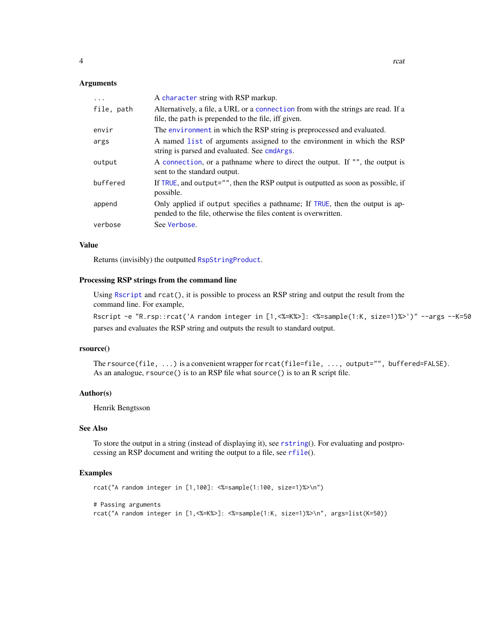#### <span id="page-3-0"></span>**Arguments**

| $\ddots$   | A character string with RSP markup.                                                                                                             |
|------------|-------------------------------------------------------------------------------------------------------------------------------------------------|
| file, path | Alternatively, a file, a URL or a connection from with the strings are read. If a<br>file, the path is prepended to the file, iff given.        |
| envir      | The environment in which the RSP string is preprocessed and evaluated.                                                                          |
| args       | A named list of arguments assigned to the environment in which the RSP<br>string is parsed and evaluated. See cmdArgs.                          |
| output     | A connection, or a pathname where to direct the output. If "", the output is<br>sent to the standard output.                                    |
| buffered   | If TRUE, and output="", then the RSP output is outputted as soon as possible, if<br>possible.                                                   |
| append     | Only applied if output specifies a pathname; If TRUE, then the output is ap-<br>pended to the file, otherwise the files content is overwritten. |
| verbose    | See Verbose.                                                                                                                                    |

#### Value

Returns (invisibly) the outputted [RspStringProduct](#page-0-0).

#### Processing RSP strings from the command line

Using [Rscript](#page-0-0) and rcat(), it is possible to process an RSP string and output the result from the command line. For example,

Rscript -e "R.rsp::rcat('A random integer in [1,<%=K%>]: <%=sample(1:K, size=1)%>')" --args --K=50 parses and evaluates the RSP string and outputs the result to standard output.

#### rsource()

The rsource(file, ...) is a convenient wrapper for rcat(file=file, ..., output="", buffered=FALSE). As an analogue, rsource() is to an RSP file what source() is to an R script file.

#### Author(s)

Henrik Bengtsson

#### See Also

To store the output in a string (instead of displaying it), see [rstring](#page-6-1)(). For evaluating and postprocessing an RSP document and writing the output to a file, see [rfile](#page-4-1)().

#### Examples

```
rcat("A random integer in [1,100]: <%=sample(1:100, size=1)%>\n")
# Passing arguments
rcat("A random integer in [1,<%=K%>]: <%=sample(1:K, size=1)%>\n", args=list(K=50))
```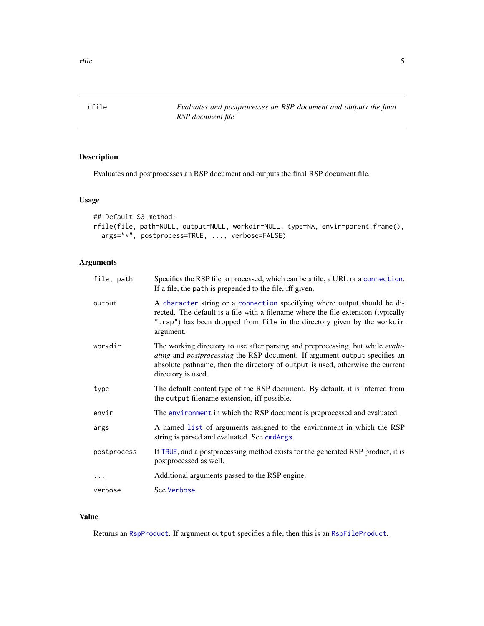<span id="page-4-1"></span><span id="page-4-0"></span>rfile *Evaluates and postprocesses an RSP document and outputs the final RSP document file*

#### Description

Evaluates and postprocesses an RSP document and outputs the final RSP document file.

#### Usage

```
## Default S3 method:
rfile(file, path=NULL, output=NULL, workdir=NULL, type=NA, envir=parent.frame(),
 args="*", postprocess=TRUE, ..., verbose=FALSE)
```
#### Arguments

| file, path  | Specifies the RSP file to processed, which can be a file, a URL or a connection.<br>If a file, the path is prepended to the file, iff given.                                                                                                                         |
|-------------|----------------------------------------------------------------------------------------------------------------------------------------------------------------------------------------------------------------------------------------------------------------------|
| output      | A character string or a connection specifying where output should be di-<br>rected. The default is a file with a filename where the file extension (typically<br>".rsp") has been dropped from file in the directory given by the workdir<br>argument.               |
| workdir     | The working directory to use after parsing and preprocessing, but while evalu-<br>ating and postprocessing the RSP document. If argument output specifies an<br>absolute pathname, then the directory of output is used, otherwise the current<br>directory is used. |
| type        | The default content type of the RSP document. By default, it is inferred from<br>the output filename extension, iff possible.                                                                                                                                        |
| envir       | The environment in which the RSP document is preprocessed and evaluated.                                                                                                                                                                                             |
| args        | A named list of arguments assigned to the environment in which the RSP<br>string is parsed and evaluated. See cmdArgs.                                                                                                                                               |
| postprocess | If TRUE, and a postprocessing method exists for the generated RSP product, it is<br>postprocessed as well.                                                                                                                                                           |
| $\cdots$    | Additional arguments passed to the RSP engine.                                                                                                                                                                                                                       |
| verbose     | See Verbose.                                                                                                                                                                                                                                                         |
|             |                                                                                                                                                                                                                                                                      |

#### Value

Returns an [RspProduct](#page-0-0). If argument output specifies a file, then this is an [RspFileProduct](#page-0-0).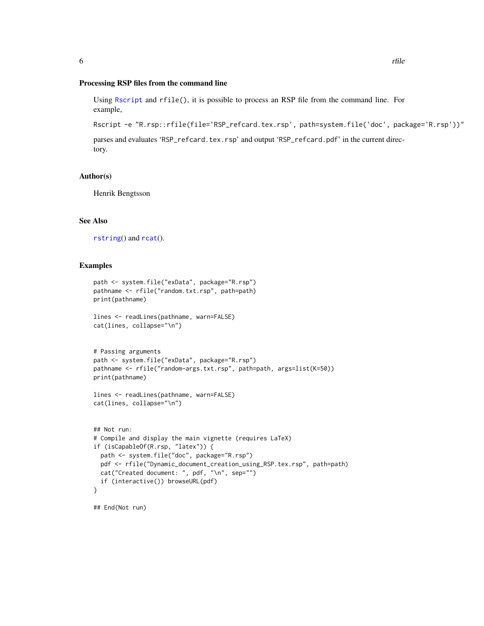#### <span id="page-5-0"></span>Processing RSP files from the command line

Using [Rscript](#page-0-0) and rfile(), it is possible to process an RSP file from the command line. For example,

Rscript -e "R.rsp::rfile(file='RSP\_refcard.tex.rsp', path=system.file('doc', package='R.rsp'))"

parses and evaluates 'RSP\_refcard.tex.rsp' and output 'RSP\_refcard.pdf' in the current directory.

#### Author(s)

Henrik Bengtsson

#### See Also

[rstring](#page-6-1)() and [rcat](#page-2-1)().

#### Examples

```
path <- system.file("exData", package="R.rsp")
pathname <- rfile("random.txt.rsp", path=path)
print(pathname)
lines <- readLines(pathname, warn=FALSE)
cat(lines, collapse="\n")
# Passing arguments
path <- system.file("exData", package="R.rsp")
pathname <- rfile("random-args.txt.rsp", path=path, args=list(K=50))
print(pathname)
lines <- readLines(pathname, warn=FALSE)
cat(lines, collapse="\n")
## Not run:
# Compile and display the main vignette (requires LaTeX)
if (isCapableOf(R.rsp, "latex")) {
  path <- system.file("doc", package="R.rsp")
  pdf <- rfile("Dynamic_document_creation_using_RSP.tex.rsp", path=path)
  cat("Created document: ", pdf, "\n", sep="")
  if (interactive()) browseURL(pdf)
}
## End(Not run)
```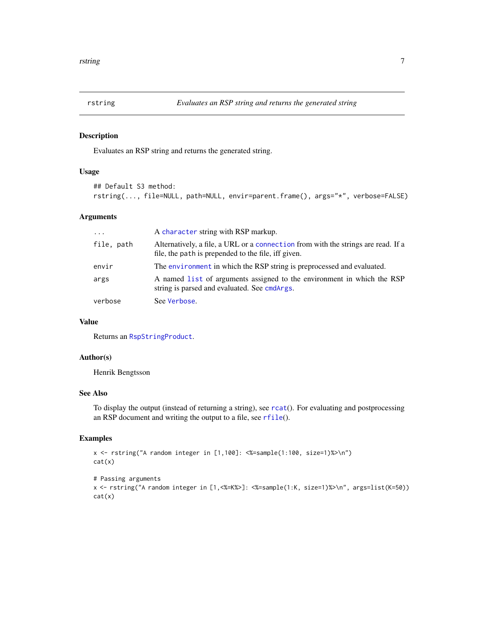<span id="page-6-1"></span><span id="page-6-0"></span>

#### Description

Evaluates an RSP string and returns the generated string.

#### Usage

```
## Default S3 method:
rstring(..., file=NULL, path=NULL, envir=parent.frame(), args="*", verbose=FALSE)
```
#### Arguments

| $\cdot$    | A character string with RSP markup.                                                                                                      |
|------------|------------------------------------------------------------------------------------------------------------------------------------------|
| file, path | Alternatively, a file, a URL or a connection from with the strings are read. If a<br>file, the path is prepended to the file, iff given. |
| envir      | The environment in which the RSP string is preprocessed and evaluated.                                                                   |
| args       | A named list of arguments assigned to the environment in which the RSP<br>string is parsed and evaluated. See cmdArgs.                   |
| verbose    | See Verbose.                                                                                                                             |

#### Value

Returns an [RspStringProduct](#page-0-0).

#### Author(s)

Henrik Bengtsson

#### See Also

To display the output (instead of returning a string), see [rcat](#page-2-1)(). For evaluating and postprocessing an RSP document and writing the output to a file, see [rfile](#page-4-1)().

#### Examples

```
x <- rstring("A random integer in [1,100]: <%=sample(1:100, size=1)%>\n")
cat(x)
```

```
# Passing arguments
x <- rstring("A random integer in [1,<%=K%>]: <%=sample(1:K, size=1)%>\n", args=list(K=50))
cat(x)
```